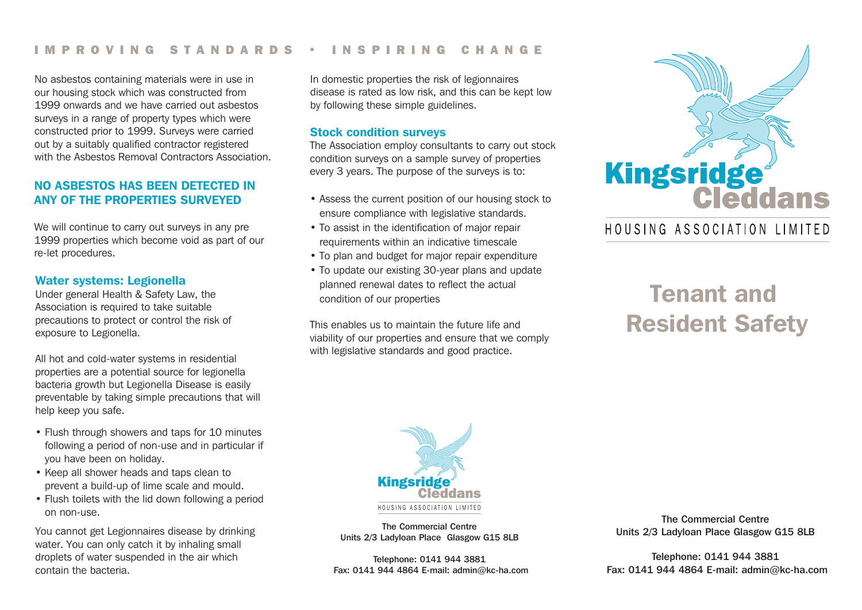#### IMPROVING STANDARDS • INSPIRING CHANGE

No asbestos containing materials were in use in our housing stock which was constructed from 1999 onwards and we have carried out asbestos surveys in a range of property types which were constructed prior to 1999. Surveys were carried out by a suitably qualified contractor registered with the Asbestos Removal Contractors Association

## NO ASBESTOS HAS BEEN DETECTED IN ANY OF THE PROPERTIES SURVEYED

We will continue to carry out surveys in any pre 1999 properties which become void as part of our re-let procedures.

#### Water systems: Legionella

Under general Health & Safety Law, the Association is required to take suitable precautions to protect or control the risk of exposure to Legionella.

All hot and cold-water systems in residential properties are a potential source for legionella bacteria growth but Legionella Disease is easily preventable by taking simple precautions that will help keep you safe.

- Flush through showers and taps for 10 minutes following a period of non-use and in particular if you have been on holiday.
- Keep all shower heads and taps clean to prevent a build-up of lime scale and mould.
- Flush toilets with the lid down following a period on non-use.

You cannot get Legionnaires disease by drinking water. You can only catch it by inhaling small droplets of water suspended in the air which contain the bacteria.

In domestic properties the risk of legionnaires disease is rated as low risk, and this can be kept low by following these simple guidelines.

#### Stock condition surveys

The Association employ consultants to carry out stock condition surveys on a sample survey of properties every 3 years. The purpose of the surveys is to:

- Assess the current position of our housing stock to ensure compliance with legislative standards.
- To assist in the identification of major repair requirements within an indicative timescale
- To plan and budget for major repair expenditure
- To update our existing 30-year plans and update planned renewal dates to reflect the actual condition of our properties

This enables us to maintain the future life and viability of our properties and ensure that we comply with legislative standards and good practice.



# HOUSING ASSOCIATION LIMITED

# Tenant and Resident Safety



The Commercial Centre Units 2/3 Ladyloan Place Glasgow G15 8LB

Telephone: 0141 944 3881 Fax: 0141 944 4864 E-mail: admin@kc-ha.com

The Commercial Centre Units 2/3 Ladyloan Place Glasgow G15 8LB

Telephone: 0141 944 3881 Fax: 0141 944 4864 E-mail: admin@kc-ha.com